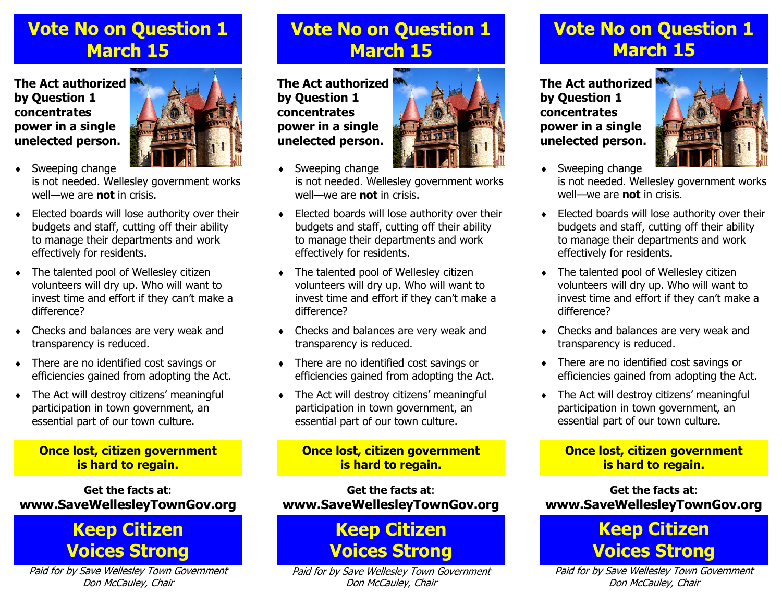## **Vote No on Question 1 March 15**

**The Act authorized by Question 1 concentrates power in a single unelected person.**



- ٠ Sweeping change is not needed. Wellesley government works well—we are **not** in crisis.
- ٠ Elected boards will lose authority over their budgets and staff, cutting off their ability to manage their departments and work effectively for residents.
- ٠ The talented pool of Wellesley citizen volunteers will dry up. Who will want to invest time and effort if they can't make a difference?
- ٠ Checks and balances are very weak and transparency is reduced.
- ٠ There are no identified cost savings or efficiencies gained from adopting the Act.
- ٠ The Act will destroy citizens' meaningful participation in town government, an essential part of our town culture.

#### **Once lost, citizen government is hard to regain.**

**Get the facts at**:**www.SaveWellesleyTownGov.org** 

### **Keep Citizen Voices Strong**

Paid for by Save Wellesley Town Government Don McCauley, Chair